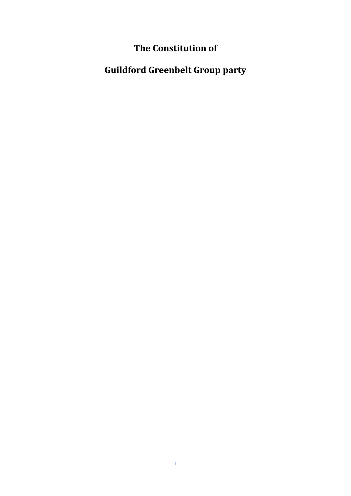## **The Constitution of**

# **Guildford Greenbelt Group party**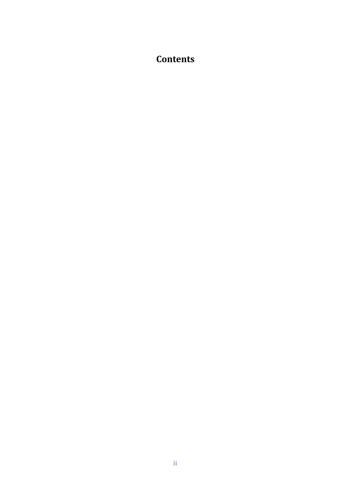### **Contents**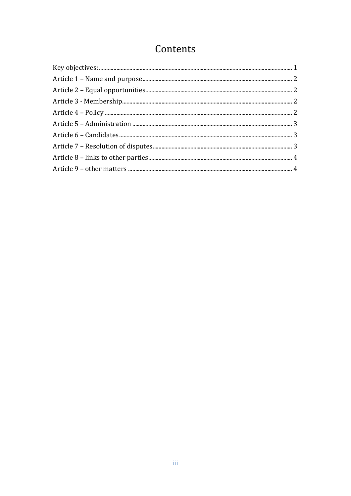## Contents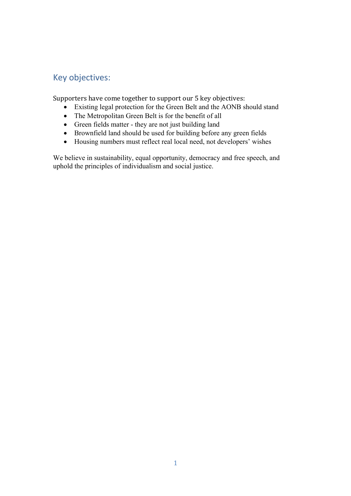#### Key objectives:

Supporters have come together to support our 5 key objectives:

- Existing legal protection for the Green Belt and the AONB should stand
- The Metropolitan Green Belt is for the benefit of all
- Green fields matter they are not just building land
- Brownfield land should be used for building before any green fields
- Housing numbers must reflect real local need, not developers' wishes

We believe in sustainability, equal opportunity, democracy and free speech, and uphold the principles of individualism and social justice.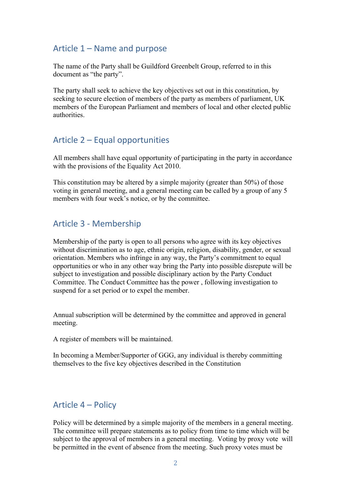#### Article 1 – Name and purpose

The name of the Party shall be Guildford Greenbelt Group, referred to in this document as "the party".

The party shall seek to achieve the key objectives set out in this constitution, by seeking to secure election of members of the party as members of parliament, UK members of the European Parliament and members of local and other elected public authorities.

#### Article 2 – Equal opportunities

All members shall have equal opportunity of participating in the party in accordance with the provisions of the Equality Act 2010.

This constitution may be altered by a simple majority (greater than 50%) of those voting in general meeting, and a general meeting can be called by a group of any 5 members with four week's notice, or by the committee.

#### Article 3 - Membership

Membership of the party is open to all persons who agree with its key objectives without discrimination as to age, ethnic origin, religion, disability, gender, or sexual orientation. Members who infringe in any way, the Party's commitment to equal opportunities or who in any other way bring the Party into possible disrepute will be subject to investigation and possible disciplinary action by the Party Conduct Committee. The Conduct Committee has the power , following investigation to suspend for a set period or to expel the member.

Annual subscription will be determined by the committee and approved in general meeting.

A register of members will be maintained.

In becoming a Member/Supporter of GGG, any individual is thereby committing themselves to the five key objectives described in the Constitution

#### Article 4 – Policy

Policy will be determined by a simple majority of the members in a general meeting. The committee will prepare statements as to policy from time to time which will be subject to the approval of members in a general meeting. Voting by proxy vote will be permitted in the event of absence from the meeting. Such proxy votes must be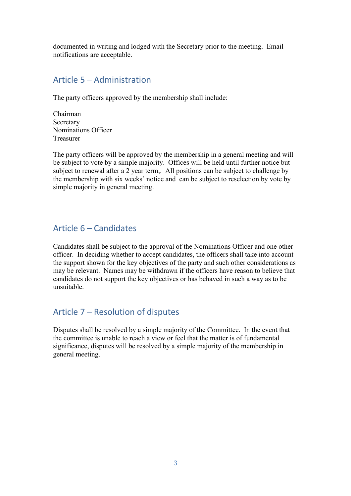documented in writing and lodged with the Secretary prior to the meeting. Email notifications are acceptable.

#### Article 5 – Administration

The party officers approved by the membership shall include:

Chairman Secretary Nominations Officer Treasurer

The party officers will be approved by the membership in a general meeting and will be subject to vote by a simple majority. Offices will be held until further notice but subject to renewal after a 2 year term,. All positions can be subject to challenge by the membership with six weeks' notice and can be subject to reselection by vote by simple majority in general meeting.

#### Article 6 – Candidates

Candidates shall be subject to the approval of the Nominations Officer and one other officer. In deciding whether to accept candidates, the officers shall take into account the support shown for the key objectives of the party and such other considerations as may be relevant. Names may be withdrawn if the officers have reason to believe that candidates do not support the key objectives or has behaved in such a way as to be unsuitable.

#### Article 7 – Resolution of disputes

Disputes shall be resolved by a simple majority of the Committee. In the event that the committee is unable to reach a view or feel that the matter is of fundamental significance, disputes will be resolved by a simple majority of the membership in general meeting.